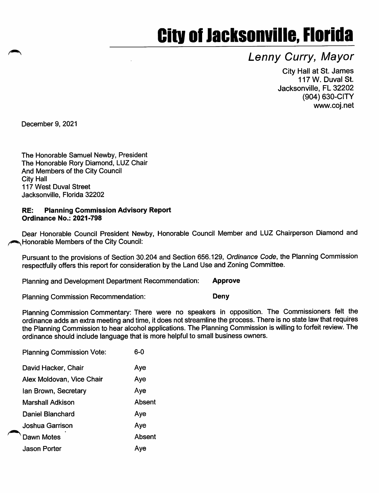# **City of Jacksonville, Florida**

# Lenny Curry, Mayor

City Hall at St. James 117 W. Duval St. Jacksonville, FL 32202 (904) 630-GITY www.coj.net

December 9, 2021

The Honorable Samuel Newby, President The Honorable Rory Diamond, LUZ Chair And Members of the City Council City Hall 117 West Duval Street Jacksonville, Florida 32202

#### RE: Planning Commission Advisory Report Ordinance No.: 2021-798

Dear Honorable Council President Newby, Honorable Council Member and LUZ Chairperson Diamond and **In Honorable Members of the City Council:** 

Pursuant to the provisions of Section 30.204 and Section 656.129, Ordinance Code, the Planning Commission respectfully offers this report for consideration by the Land Use and Zoning Committee.

Planning and Development Department Recommendation: Approve

Planning Commission Recommendation: Deny

Planning Commission Commentary: There were no speakers in opposition. The Commissioners felt the ordinance adds an extra meeting and time, it does not streamline the process. There is no state law that requires the Planning Commission to hear alcohol applications. The Planning Commission is willing to forfeit review. The ordinance should include language that is more helpful to small business owners.

| <b>Planning Commission Vote:</b> | ഒ-റ    |
|----------------------------------|--------|
| David Hacker, Chair              | Aye    |
| Alex Moldovan, Vice Chair        | Aye    |
| lan Brown, Secretary             | Aye    |
| <b>Marshall Adkison</b>          | Absent |
| Daniel Blanchard                 | Aye    |
| Joshua Garrison                  | Aye    |
| Dawn Motes                       | Absent |
| <b>Jason Porter</b>              | Ave    |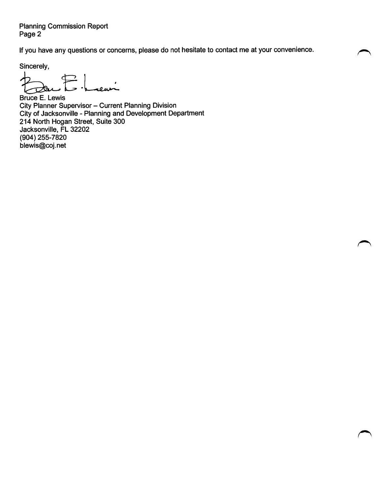Planning Commission Report Page 2

If you have any questions or concerns, please do not hesitate to contact me at your convenience.

r^.

Sincerely,

 $\mathcal{P}$ eur Dan

Bruce E. Lewis City Planner Supervisor - Current Planning Division City of Jacksonville - Planning and Development Department 214 North Hogan Street, Suite 300 Jacksonville, FL 32202 (904) 255-7820 blewis@coj.net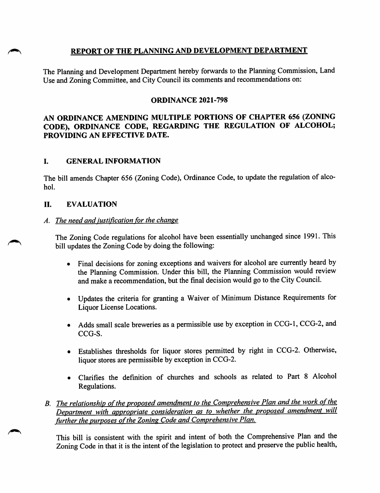#### REPORT OF THE PLANNING AND DEVELOPMENT DEPARTMENT

The Planning and Development Department hereby forwards to the Planning Commission, Land Use and Zoning Committee, and City Council its comments and recommendations on:

#### ORDINANCE 2021-798

### AN ORDINANCE AMENDING MULTIPLE PORTIONS OF CHAPTER 656 (ZONING CODE), ORDINANCE CODE, REGARDING THE REGULATION OF ALCOHOL; PROVIDING AN EFFECTIVE DATE.

#### I. GENERAL INFORMATION

The bill amends Chapter 656 (Zoning Code), Ordinance Code, to update the regulation of alco hol.

#### H. EVALUATION

#### A. The need and justification for the change

The Zoning Code regulations for alcohol have been essentially imchanged since 1991. This bill updates the Zoning Code by doing the following:

- Final decisions for zoning exceptions and waivers for alcohol are currently heard by the Planning Commission. Under this bill, the Planning Commission would review and make a recommendation, but the final decision would go to the City Council.
- Updates the criteria for granting a Waiver of Minimum Distance Requirements for Liquor License Locations.
- Adds small scale breweries as a permissible use by exception in CCG-1, CCG-2, and CCG-S.
- Establishes thresholds for liquor stores permitted by right in CCG-2. Otherwise, liquor stores are permissible by exception in CCG-2.
- Clarifies the definition of churches and schools as related to Part 8 Alcohol Regulations.
- B. The relationship of the proposed amendment to the Comprehensive Plan and the work of the Department with appropriate consideration as to whether the proposed amendment will further the purposes of the Zoning Code and Comprehensive Plan.

This bill is consistent with the spirit and intent of both the Comprehensive Plan and the Zoning Code in that it is the intent of the legislation to protect and preserve the public health.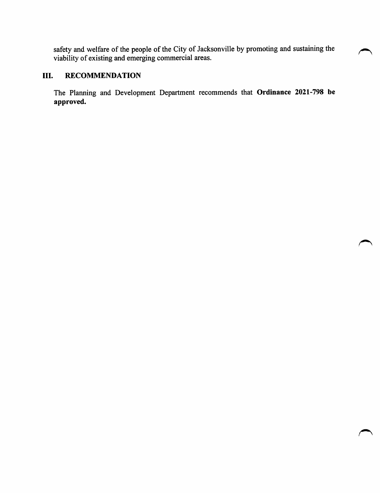safety and welfare of the people of the City of Jacksonville by promoting and sustaining the viability of existing and emerging commercial areas.

# III. RECOMMENDATION

The Planning and Development Department recommends that Ordinance 2021-798 be approved.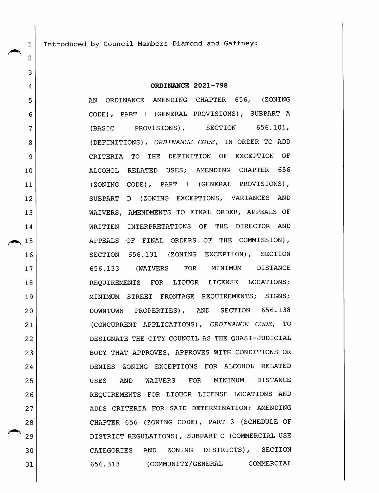Introduced by Council Members Diamond and Gaffney:

2

 $\mathbf{1}$ 

3

4

5

6

7

8

9

10

11

12

13

14

15

16

17

18

19

20

21

22

23

24

25

26

27

28

29

30

31

#### ORDINANCE 2021-798

AN ORDINANCE AMENDING CHAPTER 656, (ZONING CODE), PART 1 (GENERAL PROVISIONS), SUBPART A (BASIC PROVISIONS), SECTION 656.101, (DEFINITIONS), ORDINANCE CODE, IN ORDER TO ADD CRITERIA TO THE DEFINITION OF EXCEPTION OF ALCOHOL RELATED USES; AMENDING CHAPTER 656 (ZONING CODE), PART 1 (GENERAL PROVISIONS), SUBPART D (ZONING EXCEPTIONS, VARIANCES AND WAIVERS, AMENDMENTS TO FINAL ORDER, APPEALS OF WRITTEN INTERPRETATIONS OF THE DIRECTOR AND APPEALS OF FINAL ORDERS OF THE COMMISSION), SECTION 656.131 (ZONING EXCEPTION), SECTION 656.133 (WAIVERS FOR MINIMUM DISTANCE REQUIREMENTS FOR LIQUOR LICENSE LOCATIONS; MINIMUM STREET FRONTAGE REQUIREMENTS; SIGNS; DOWNTOWN PROPERTIES), AND SECTION 656.138 (CONCURRENT APPLICATIONS), ORDINANCE CODE, TO DESIGNATE THE CITY COUNCIL AS THE QUASI-JUDICIAL BODY THAT APPROVES, APPROVES WITH CONDITIONS OR DENIES ZONING EXCEPTIONS FOR ALCOHOL RELATED USES AND WAIVERS FOR MINIMUM DISTANCE REQUIREMENTS FOR LIQUOR LICENSE LOCATIONS AND ADDS CRITERIA FOR SAID DETERMINATION; AMENDING CHAPTER 656 (ZONING CODE), PART 3 (SCHEDULE OF DISTRICT REGULATIONS), SUBPART C (COMMERCIAL USE CATEGORIES AND ZONING DISTRICTS), SECTION 656.313 (COMMUNITY/GENERAL COMMERCIAL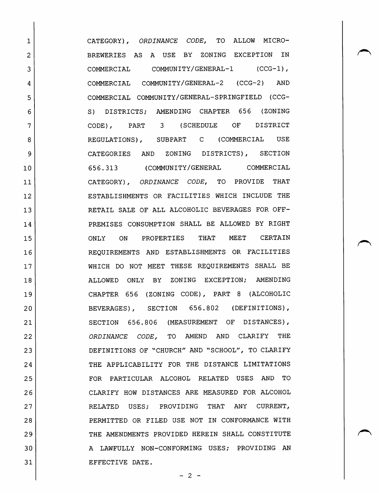CATEGORY) , ORDINANCE CODE, TO ALLOW MICRO-BREWERIES AS A USE BY ZONING EXCEPTION IN COMMERCIAL COMMUNITY/GENERAL-1 (CCG-1), COMMERCIAL COMMUNITY/GENERAL-2 (CCG-2) AND COMMERCIAL COMMUNITY/GENERAL-SPRINGFIELD (CCG-S) DISTRICTS; AMENDING CHAPTER 656 (ZONING CODE), PART 3 (SCHEDULE OF DISTRICT REGULATIONS), SUBPART C (COMMERCIAL USE CATEGORIES AND ZONING DISTRICTS), SECTION 656.313 (COMMUNITY/GENERAL COMMERCIAL CATEGORY), ORDINANCE CODE, TO PROVIDE THAT ESTABLISHMENTS OR FACILITIES WHICH INCLUDE THE RETAIL SALE OF ALL ALCOHOLIC BEVERAGES FOR OFF-PREMISES CONSUMPTION SHALL BE ALLOWED BY RIGHT ONLY ON PROPERTIES THAT MEET CERTAIN REQUIREMENTS AND ESTABLISHMENTS OR FACILITIES WHICH DO NOT MEET THESE REQUIREMENTS SHALL BE ALLOWED ONLY BY ZONING EXCEPTION; AMENDING CHAPTER 656 (ZONING CODE), PART 8 (ALCOHOLIC BEVERAGES), SECTION 656.802 (DEFINITIONS), SECTION 656.806 (MEASUREMENT OF DISTANCES), ORDINANCE CODE, TO AMEND AND CLARIFY THE DEFINITIONS OF "CHURCH" AND "SCHOOL", TO CLARIFY THE APPLICABILITY FOR THE DISTANCE LIMITATIONS FOR PARTICULAR ALCOHOL RELATED USES AND TO CLARIFY HOW DISTANCES ARE MEASURED FOR ALCOHOL RELATED USES; PROVIDING THAT ANY CURRENT, PERMITTED OR FILED USE NOT IN CONFORMANCE WITH THE AMENDMENTS PROVIDED HEREIN SHALL CONSTITUTE A LAWFULLY NON-CONFORMING USES; PROVIDING AN EFFECTIVE DATE.

1

2

3

4

5

6

7

8

9

10

11

12

13

14

15

16

17

18

19

20

21

22

23

24

25

26

27

28

29

30

31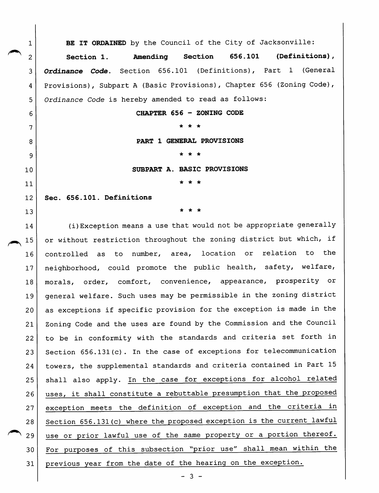BE IT ORDAINED by the Council of the City of Jacksonville: Section 1. Amending Section 656.101 (Definitions), Ordinance Code. Section 656.101 (Definitions), Part 1 (General Provisions), Subpart A (Basic Provisions), Chapter 656 (Zoning Code), Ordinance Code is hereby amended to read as follows:

CHAPTER 656 - ZONING CODE

\* \* \*

PART 1 GENERAL PROVISIONS

\* \* \*

SUBPART A. BASIC PROVISIONS

\* \* \*

Sec. 656.101. Definitions

2

 $\mathbf{1}$ 

3

4

5

6

7

8

9

10

11

12

13

\* \* \*

14  $\begin{array}{c|c} & 14 \\ \hline & 15 \end{array}$ 16 17 18 19 20 21 22 23 24 25 26 27 28  $\begin{array}{c|c}\n & 28 \\
 & 29\n\end{array}$ 30 31 (i)Exception means a use that would not be appropriate generally or without restriction throughout the zoning district but which, if controlled as to number, area, location or relation to the neighborhood, could promote the public health, safety, welfare, morals, order, comfort, convenience, appearance, prosperity or general welfare. Such uses may be permissible in the zoning district as exceptions if specific provision for the exception is made in the Zoning Code and the uses are found by the Commission and the Council to be in conformity with the standards and criteria set forth in Section 656.131(c). In the case of exceptions for telecommunication towers, the supplemental standards and criteria contained in Part 15 shall also apply. In the case for exceptions for alcohol related uses, it shall constitute a rebuttable presumption that the proposed exception meets the definition of exception and the criteria in Section 656.131(c) where the proposed exception is the current lawful use or prior lawful use of the same property or a portion thereof. For purposes of this subsection "prior use" shall mean within the previous year from the date of the hearing on the exception.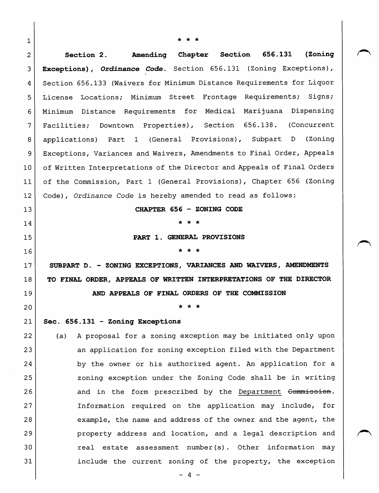| 1            |                                                                        |
|--------------|------------------------------------------------------------------------|
| $\mathbf{2}$ | (Zoning<br><b>Section 656.131</b><br>Section 2. Amending Chapter       |
| 3            | Exceptions), Ordinance Code. Section 656.131 (Zoning Exceptions),      |
| 4            | Section 656.133 (Waivers for Minimum Distance Requirements for Liquor  |
| 5            | License Locations; Minimum Street Frontage Requirements; Signs;        |
| 6            | Minimum Distance Requirements for Medical Marijuana Dispensing         |
| 7            | Facilities; Downtown Properties), Section 656.138. (Concurrent         |
| 8            | applications) Part 1 (General Provisions), Subpart D (Zoning           |
| 9            | Exceptions, Variances and Waivers, Amendments to Final Order, Appeals  |
| 10           | of Written Interpretations of the Director and Appeals of Final Orders |
| 11           | of the Commission, Part 1 (General Provisions), Chapter 656 (Zoning    |
| 12           | Code), Ordinance Code is hereby amended to read as follows:            |
| 13           | CHAPTER 656 - ZONING CODE                                              |
| 14           |                                                                        |
| 15           | PART 1. GENERAL PROVISIONS                                             |
| 16           |                                                                        |
| 17           | SUBPART D. - ZONING EXCEPTIONS, VARIANCES AND WAIVERS, AMENDMENTS      |
| 18           | TO FINAL ORDER, APPEALS OF WRITTEN INTERPRETATIONS OF THE DIRECTOR     |
| 19           | AND APPEALS OF FINAL ORDERS OF THE COMMISSION                          |
| 20           |                                                                        |
| 21           | Sec. 656.131 - Zoning Exceptions                                       |
| 22           | A proposal for a zoning exception may be initiated only upon<br>(a)    |
| 23           | an application for zoning exception filed with the Department          |
| 24           | by the owner or his authorized agent. An application for a             |
| 25           | zoning exception under the Zoning Code shall be in writing             |
| 26           | and in the form prescribed by the Department Commission.               |
| 27           | Information required on the application may include, for               |
| 28           | example, the name and address of the owner and the agent, the          |
| 29           | property address and location, and a legal description and             |
| 30           | real estate assessment number(s). Other information may                |
| 31           | include the current zoning of the property, the exception              |

- 4 -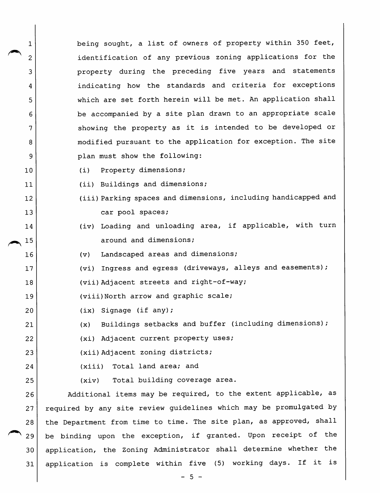1 being sought, a list of owners of property within 350 feet, 2 identification of any previous zoning applications for the 3 property during the preceding five years and statements 4 | indicating how the standards and criteria for exceptions 5 | which are set forth herein will be met. An application shall 6 6 be accompanied by a site plan drawn to an appropriate scale 7 | Showing the property as it is intended to be developed or 8 | modified pursuant to the application for exception. The site 9 | plan must show the following:

- 10 (i) Property dimensions;
- 11 (ii) Buildings and dimensions;
- 12 (iii) Parking spaces and dimensions, including handicapped and 13 car pool spaces;
- 14 (iv) Loading and unloading area, if applicable, with turn 15 around and dimensions;

16 (v) Landscaped areas and dimensions;

- 17 | (vi) Ingress and egress (driveways, alleys and easements);
- 18 (vii) Adjacent streets and right-of-way;

19 (viii)North arrow and graphic scale;

- 20 (ix) Signage (if any);
- 21 (x) Buildings setbacks and buffer (including dimensions);

22 (xi) Adjacent current property uses;

23 (xii) Adjacent zoning districts;

- 24 (xiii) Total land area; and
- 

25 (xiv) Total building coverage area.

26 | Additional items may be required, to the extent applicable, as 27 | required by any site review guidelines which may be promulgated by 28 | the Department from time to time. The site plan, as approved, shall 29 | be binding upon the exception, if granted. Upon receipt of the 30 application, the Zoning Administrator shall determine whether the 31 application is complete within five (5) working days. If it is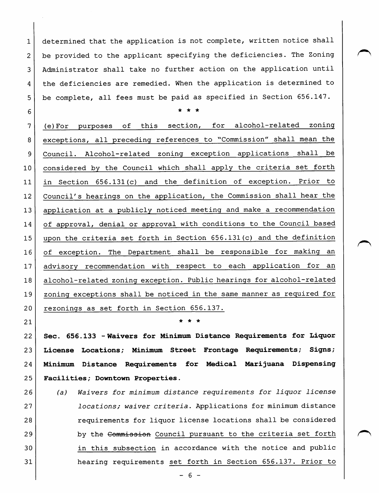1 determined that the application is not complete, written notice shall  $2$  be provided to the applicant specifying the deficiencies. The Zoning 3 Administrator shall take no further action on the application until 4 the deficiencies are remedied. When the application is determined to 5 | be complete, all fees must be paid as specified in Section 656.147.

 $\begin{array}{ccc} 6 \end{array}$ 

7 (e)For purposes of this section, for alcohol-related zoning 8 | exceptions, all preceding references to "Commission" shall mean the 9 Council. Alcohol-related zoning exception applications shall be 10 considered by the Council which shall apply the criteria set forth 11 in Section 656.131(c) and the definition of exception. Prior to 12 Council's hearings on the application, the Commission shall hear the 13 application at a publicly noticed meeting and make a recommendation 14 of approval, denial or approval with conditions to the Council based 15 | upon the criteria set forth in Section 656.131 (c) and the definition 16 of exception. The Department shall be responsible for making an 17 advisory recommendation with respect to each application for an 18 | alcohol-related zoning exception. Public hearings for alcohol-related 19 | zoning exceptions shall be noticed in the same manner as required for 20 rezonings as set forth in Section 656.137.

21  $\vert$  \* \* \*

22 | Sec. 656.133 - Waivers for Minimum Distance Requirements for Liquor 23 License Locations; Minimum Street Frontage Requirements; Signs; 24 Minimum Distance Requirements for Medical Marijuana Dispensing 25 Facilities; Downtown Properties.

26 (a) Waivers for minimum distance requirements for liquor license 27 | *locations; waiver criteria*. Applications for minimum distance 28 | The requirements for liquor license locations shall be considered 29 by the Commission Council pursuant to the criteria set forth 30 in this subsection in accordance with the notice and public 31 hearing requirements set forth in Section 656.137. Prior to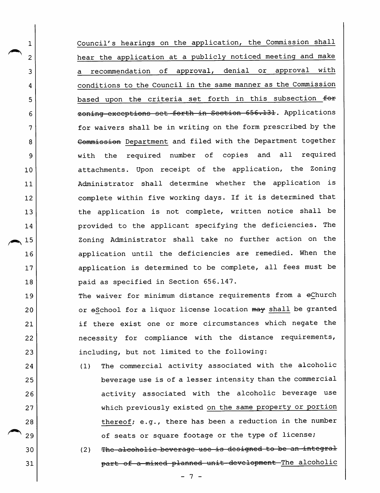Council^s hearings on the application, the Commission shall hear the application at a publicly noticed meeting and make a recommendation of approval, denial or approval with conditions to the Council in the same manner as the Commission based upon the criteria set forth in this subsection for zoning exceptions set forth in Section 656.131. Applications for waivers shall be in writing on the form prescribed by the Commission Department and filed with the Department together with the required number of copies and all required attachments. Upon receipt of the application, the Zoning Administrator shall determine whether the application is complete within five working days. If it is determined that the application is not complete, written notice shall be provided to the applicant specifying the deficiencies. The Zoning Administrator shall take no further action on the application until the deficiencies are remedied. When the application is determined to be complete, all fees must be paid as specified in Section 656.147.

2

 $\mathbf 1$ 

3

4

5

6

7

8

9

10

11

12

13

14  $\begin{array}{c|c}\n & 14 \\
\hline\n & 15\n\end{array}$ 

16

17

18

19

20

21

22

23

30

31

The waiver for minimum distance requirements from a eChurch or sSchool for a liquor license location may shall be granted if there exist one or more circumstances which negate the necessity for compliance with the distance requirements, including, but not limited to the following:

- 24 25 26 27 28 29 (1) The commercial activity associated with the alcoholic beverage use is of a lesser intensity than the commercial activity associated with the alcoholic beverage use which previously existed on the same property or portion thereof; e.g., there has been a reduction in the number of seats or square footage or the type of license;
	- (2) The alcoholic beverage use is designed to be an integral part of a mixed planned unit development The alcoholic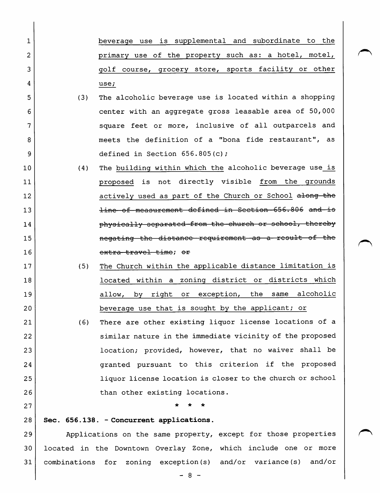1 beverage use is supplemental and subordinate to the 2 | primary use of the property such as: a hotel, motel, 3 golf course, grocery store^ sports facility or other 4 use;

- 5 (3) The alcoholic beverage use is located within a shopping 6 center with an aggregate gross leasable area of 50,000 7 | Square feet or more, inclusive of all outparcels and 8 and Supers the definition of a "bona fide restaurant", as 9 defined in Section  $656.805(c)$ ;
- 10 (4) The building within which the alcoholic beverage use is 11 **proposed** is not directly visible from the grounds 12 actively used as part of the Church or School along the 13 **line—of measurement defined in Section**—656.806 and is 14 **physically separated from the church or school, thereby** 15 **15 negating** the distance requirement as a result of the 16 extra travel time; or
- 17 (5) The Church within the applicable distance limitation is 18 **located within a zoning district or districts which** 19 allow, by right or exception, the same alcoholic 20 beverage use that is sought by the applicant; or
- 21 (6) There are other existing liquor license locations of a 22 similar nature in the immediate vicinity of the proposed 23 location; provided, however, that no waiver shall be 24 **granted pursuant to this criterion if the proposed** 25 liquor license location is closer to the church or school 26 than other existing locations.
- 27  $\vert$  \* \* \*
- 28 Sec. 656.138. Concurrent applications.

29 Applications on the same property, except for those properties 30 located in the Downtown Overlay Zone, which include one or more 31 combinations for zoning exception(s) and/or variance(s) and/or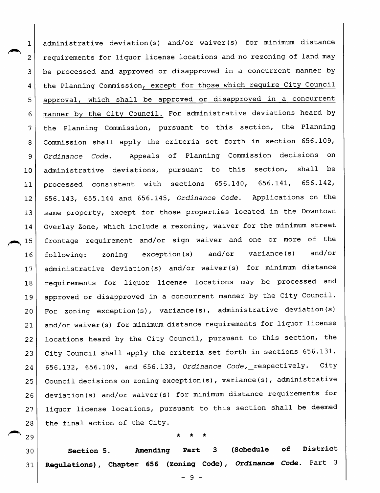administrative deviation(s) and/or waiver(s) for minimum distance  $\mathbf 1$ requirements for liquor license locations and no rezoning of land may 2 be processed and approved or disapproved in a concurrent manner by 3 the Planning Commission, except for those which require City Council 4 approval, which shall be approved or disapproved in a concurrent 5 manner by the City Council. For administrative deviations heard by 6 the Planning Commission, pursuant to this section, the Planning 7 Commission shall apply the criteria set forth in section 656.109, 8 Ordinance Code, Appeals of Planning Commission decisions on 9 administrative deviations, pursuant to this section, shall be 10 processed consistent with sections 656.140, 656.141, 656.142, 11 656.143, 655.144 and 656.145, Ordinance Code, Applications on the 12 same property, except for those properties located in the Downtown 13  $\begin{array}{c|c}\n & 14 \\
\hline\n & 15\n\end{array}$ Overlay Zone, which include a rezoning, waiver for the minimum street 14 frontage requirement and/or sign waiver and one or more of the following: zoning exception (s) and/or variance (s) and/or 16 administrative deviation (s) and/or waiver(s) for minimum distance 17 requirements for liquor license locations may be processed and 18 approved or disapproved in a concurrent manner by the City Council. 19 For zoning exception(s), variance(s), administrative deviation(s) 20 and/or waiver(s) for minimum distance requirements for liquor license 21 locations heard by the City Council, pursuant to this section, the 22 City Council shall apply the criteria set forth in sections 656.131, 23 656.132, 656.109, and 656.133, Ordinance Code,\_respectively. City 24 Council decisions on zoning exception(s), variance(s), administrative 25 deviation(s) and/or waiver(s) for minimum distance requirements for 26 liquor license locations, pursuant to this section shall be deemed 27 the final action of the City. 28

# \* \* \*

30 31 Section 5. Amending Part 3 (Schedule of District Regulations), Chapter 656 (Zoning Code), Ordinance Code, Part 3

29

- 9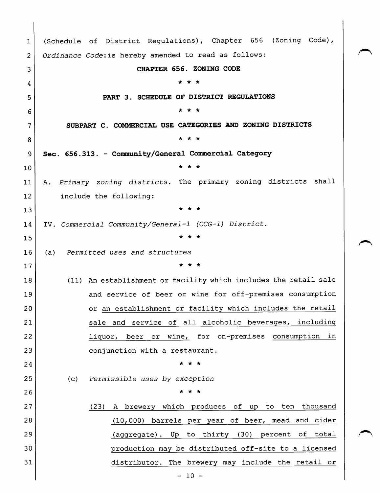1 2 3 4 5 6 7 8 9 10 11 12 13 14 15 16 17 18 19 20 21 22 23 24 25 26 27 28 29 30 31 (Schedule of District Regulations), Chapter 656 (Zoning Code), Ordinance Code:is hereby amended to read as follows: CHAPTER 656. ZONING CODE \* \* \* PART 3. SCHEDULE OF DISTRICT REGULATIONS \* \* ★ SUBPART C. COMMERCIAL USE CATEGORIES AND ZONING DISTRICTS \* \* \* Sec. 656.313. - Community/General Commercial Category \* \* \* A. Primary zoning districts. The primary zoning districts shall include the following:  $\star$   $\star$   $\star$ IV. Commercial Community/General-1 (CCG-1) District. \* \* \* (a) Permitted uses and structures \* \* \* (11) An establishment or facility which includes the retail sale and service of beer or wine for off-premises consumption or an establishment or facility which includes the retail sale and service of all alcoholic beverages, including liquor, beer or wine, for on-premises consumption in conjunction with a restaurant. \* \* \* (c) Permissible uses by exception \* \* \* (23) A brewery which produces of up to ten thousand (10/ 000) barrels per year of beer, mead and cider (aggregate) . Up to thirty (30) percent of total production may be distributed off-site to a licensed distributor. The brewery may include the retail or  $-10 -$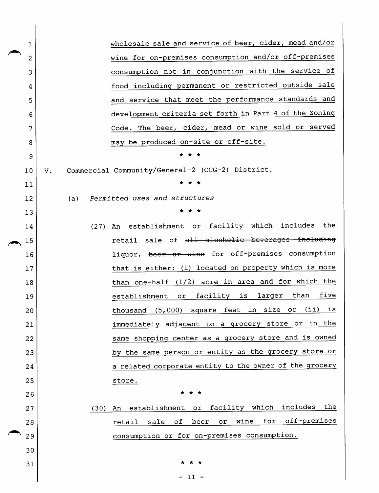| 1  | wholesale sale and service of beer, cider, mead and/or                  |
|----|-------------------------------------------------------------------------|
| 2  | wine for on-premises consumption and/or off-premises                    |
| 3  | consumption not in conjunction with the service of                      |
| 4  | food including permanent or restricted outside sale                     |
| 5  | and service that meet the performance standards and                     |
| 6  | development criteria set forth in Part 4 of the Zoning                  |
| 7  | Code. The beer, cider, mead or wine sold or served                      |
| 8  | may be produced on-site or off-site.                                    |
| 9  |                                                                         |
| 10 | V. Commercial Community/General-2 (CCG-2) District.                     |
| 11 |                                                                         |
| 12 | Permitted uses and structures<br>(a)                                    |
| 13 | * *                                                                     |
| 14 | (27) An establishment or facility which includes the                    |
| 15 | retail sale of all alcoholic beverages including                        |
| 16 | liquor, beer or wine for off-premises consumption                       |
| 17 | that is either: (i) located on property which is more                   |
| 18 | than one-half (1/2) acre in area and for which the                      |
| 19 | than<br>five<br>facility is<br>larger<br>establishment<br>or            |
| 20 | (i)<br>in size<br>is<br>(5,000) square feet<br>or<br>thousand           |
| 21 | immediately adjacent to a grocery store or in the                       |
| 22 | same shopping center as a grocery store and is owned                    |
| 23 | by the same person or entity as the grocery store or                    |
| 24 | a related corporate entity to the owner of the grocery                  |
| 25 | store.                                                                  |
| 26 | $\star$<br>$\star$                                                      |
| 27 | facility which includes the<br>An establishment or<br>(30)              |
| 28 | for off-premises<br>wine<br>оf<br>beer<br>$\verb"or"$<br>sale<br>retail |
| 29 | consumption or for on-premises consumption.                             |
| 30 |                                                                         |
| 31 | * * *                                                                   |
|    | $-11 -$                                                                 |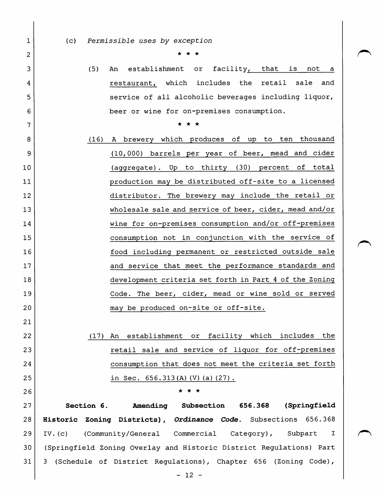1

2

3

4

5

6

7

8

9

10

11

12

13

14

15

16

17

18

19

20

21

22

23

24

25

26

(c) Permissible uses by exception

\* \* \*

(5) An establishment or facility, that is not a restaurant, which includes the retail sale and service of all alcoholic beverages including liquor, beer or wine for on-premises consumption.

4r 4r 4r

- (16) A brewery which produces of up to ten thousand (10,000) barrels per year of beer, mead and cider (aggregate) . Up to thirty (30) percent of total production may be distributed off-site to a licensed distributor. The brewery may include the retail or wholesale sale and service of beer, cider, mead and/or wine for on-premises consumption and/or off-premises consumption not in conjunction with the service of food including permanent or restricted outside sale and service that meet the performance standards and development criteria set forth in Part 4 of the Zoning Code. The beer, cider, mead or wine sold or served may be produced on-site or off-site.
	- (17) An establishment or facility which includes the retail sale and service of liquor for off-premises consumption that does not meet the criteria set forth in Sec. 656.313(A)(V)(a)(27).

27 28 29 30 31 Section 6. Amending Subsection 656.368 (Springfield Historic Zoning Districts), Ordinance Code. Subsections 656.368 IV. (c) (Community/General Commercial Category), Subpart I (Springfield Zoning Overlay and Historic District Regulations) Part 3 (Schedule of District Regulations), Chapter 656 (Zoning Code),

\* \* \*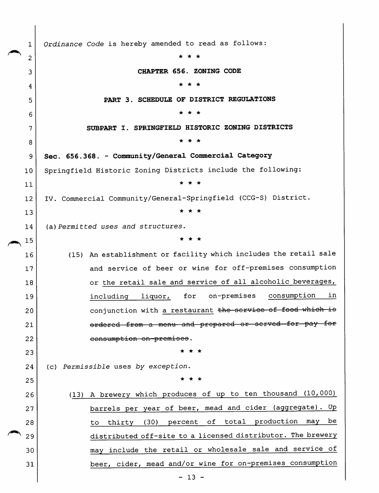Ordinance Code is hereby amended to read as follows:  $\mathbf{1}$ \* \* \* 2 CHAPTER 656. ZONING CODE 3 \* \* \* 4 PART 3. SCHEDULE OF DISTRICT REGULATIONS 5 \* \* \* 6 SUBPART I. SPRINGFIELD HISTORIC ZONING DISTRICTS 7 \* \* \* 8 Sec. 656.368. - Community/General Commercial Category 9 Springfield Historic Zoning Districts include the following: 10 \* \* \* 11 IV. Commercial Community/General-Springfield (CCG-S) District. 12 \* \* \* 13 (a) Permitted uses and structures. 14 ★ \* \* 15 (15) An establishment or facility which includes the retail sale 16 and service of beer or wine for off-premises consumption 17 or the retail sale and service of all alcoholic beverages, 18 including liquor, for on-premises consumption in 19 conjunction with a restaurant the service of food which is 20 ordered from a menu and prepared or served for pay for 21 consumption on-premises. 22 \* ★ \* 23 (c) Permissible uses by exception. 24 \* \* \* 25 (13) A brewery which produces of up to ten thousand (10,000) 26 barrels per year of beer, mead and cider (aggregate). Up 27 to thirty (30) percent of total production may be 28 distributed off-site to a licensed distributor. The brewery 29 may include the retail or wholesale sale and service of 30 beer, cider, mead and/or wine for on-premises consumption 31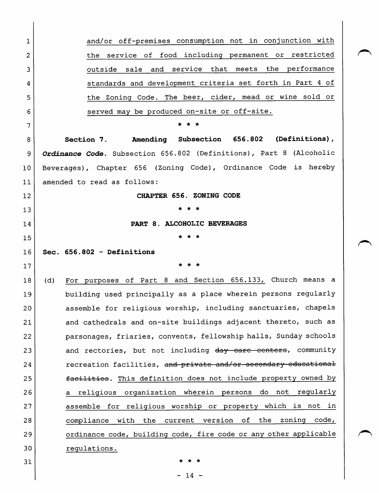| 1              | and/or off-premises consumption not in conjunction with             |
|----------------|---------------------------------------------------------------------|
| $\overline{2}$ | the service of food including permanent or restricted               |
| 3              | outside sale and service that meets the performance                 |
| 4              | standards and development criteria set forth in Part 4 of           |
| 5              | the Zoning Code. The beer, cider, mead or wine sold or              |
| 6              | served may be produced on-site or off-site.                         |
| 7              |                                                                     |
| 8              | Section 7. Amending Subsection 656.802 (Definitions),               |
| 9              | Ordinance Code. Subsection 656.802 (Definitions), Part 8 (Alcoholic |
| 10             | Beverages), Chapter 656 (Zoning Code), Ordinance Code is hereby     |
| 11             | amended to read as follows:                                         |
| 12             | CHAPTER 656. ZONING CODE                                            |
| 13             |                                                                     |
| 14             | PART 8. ALCOHOLIC BEVERAGES                                         |
| 15             |                                                                     |
|                |                                                                     |
| 16             | Sec. 656.802 - Definitions                                          |
| 17             |                                                                     |
| 18             | For purposes of Part 8 and Section 656.133, Church means a<br>(d)   |
| 19             | building used principally as a place wherein persons regularly      |
| 20             | assemble for religious worship, including sanctuaries, chapels      |
| 21             | and cathedrals and on-site buildings adjacent thereto, such as      |
| 22             | parsonages, friaries, convents, fellowship halls, Sunday schools    |
| 23             | and rectories, but not including day eare centers, community        |
| 24             | recreation facilities, and private and/or secondary educational     |
| 25             | facilities. This definition does not include property owned by      |
| 26             | religious organization wherein persons do not regularly<br>a -      |
| 27             | assemble for religious worship or property which is not in          |
| 28             | compliance with the current version of<br>the<br>zoning code,       |
| 29             | ordinance code, building code, fire code or any other applicable    |
| 30             | regulations.                                                        |

 $- 14 -$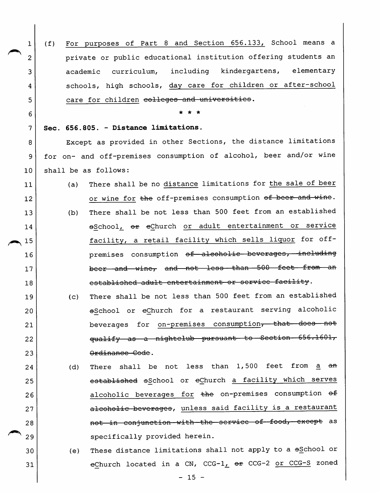1 (f) For purposes of Part 8 and Section 656.133, School means a 2 private or public educational institution offering students an 3 academic curriculum, including kindergartens, elementary 4 | schools, high schools, day care for children or after-school 5 care for children colleges and universities.

 $\begin{array}{ccc} 6 \end{array}$ 

#### 7 | Sec. 656.805. - Distance limitations.

8 | Except as provided in other Sections, the distance limitations 9 | for on- and off-premises consumption of alcohol, beer and/or wine 10 shall be as follows:

- 11 (a) There shall be no distance limitations for the sale of beer 12 or wine for the off-premises consumption of beer and wine. 13 (b) There shall be not less than 500 feet from an established 14 eSchool, or eChurch or adult entertainment or service 15 | facility, a retail facility which sells liquor for off-16 | premises consumption <del>of alcoholic beverages, including</del> 17 **beer** and wine, and not less than 500 feet from an 18 cotablished adult entertainment or service facility.
- 19 (c) There shall be not less than 500 feet from an established 20 eSchool or eChurch for a restaurant serving alcoholic 21 beverages for on-premises consumption, that does not 22 | **qualify** as a nightclub pursuant to Section 656.1601, 23 | Contract Code Code.
- 24 (d) There shall be not less than  $1,500$  feet from  $\underline{a}$  and 25 Gotabliahed eschool or eChurch a facility which serves 26 alcoholic beverages for the on-premises consumption  $\theta$ 27 | alcoholic beverages, unless said facility is a restaurant 28 | and the conjunction—with—the—service—of-food, except as 29 | Specifically provided herein.
- $30$  (e) These distance limitations shall not apply to a  $65$ chool or 31 eChurch located in a CN, CCG-1 $_L$   $\sigma$  CCG-2 or CCG-S zoned

 $- 15 -$